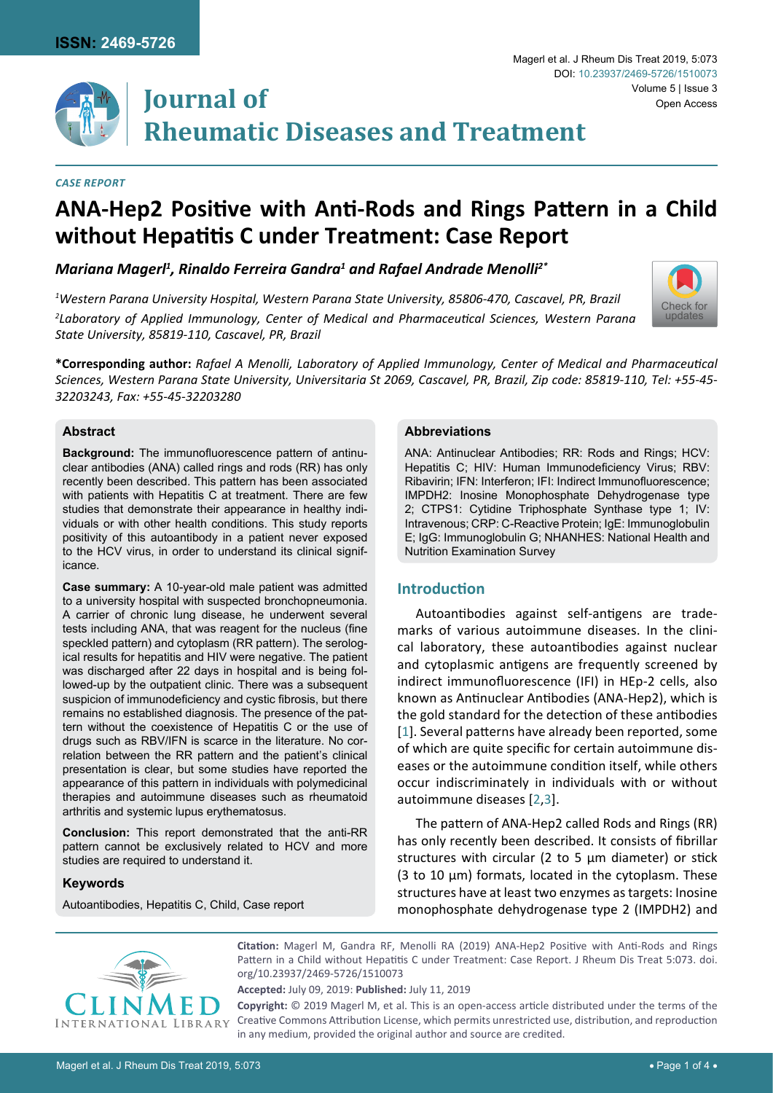

## *Case Report*

# **ANA-Hep2 Positive with Anti-Rods and Rings Pattern in a Child without Hepatitis C under Treatment: Case Report**

*Mariana Magerl1 , Rinaldo Ferreira Gandra1 and Rafael Andrade Menolli2\**

*1 Western Parana University Hospital, Western Parana State University, 85806-470, Cascavel, PR, Brazil 2 Laboratory of Applied Immunology, Center of Medical and Pharmaceutical Sciences, Western Parana State University, 85819-110, Cascavel, PR, Brazil*

**\*Corresponding author:** *Rafael A Menolli, Laboratory of Applied Immunology, Center of Medical and Pharmaceutical Sciences, Western Parana State University, Universitaria St 2069, Cascavel, PR, Brazil, Zip code: 85819-110, Tel: +55-45- 32203243, Fax: +55-45-32203280*

## **Abstract**

**Background:** The immunofluorescence pattern of antinuclear antibodies (ANA) called rings and rods (RR) has only recently been described. This pattern has been associated with patients with Hepatitis C at treatment. There are few studies that demonstrate their appearance in healthy individuals or with other health conditions. This study reports positivity of this autoantibody in a patient never exposed to the HCV virus, in order to understand its clinical significance.

**Case summary:** A 10-year-old male patient was admitted to a university hospital with suspected bronchopneumonia. A carrier of chronic lung disease, he underwent several tests including ANA, that was reagent for the nucleus (fine speckled pattern) and cytoplasm (RR pattern). The serological results for hepatitis and HIV were negative. The patient was discharged after 22 days in hospital and is being followed-up by the outpatient clinic. There was a subsequent suspicion of immunodeficiency and cystic fibrosis, but there remains no established diagnosis. The presence of the pattern without the coexistence of Hepatitis C or the use of drugs such as RBV/IFN is scarce in the literature. No correlation between the RR pattern and the patient's clinical presentation is clear, but some studies have reported the appearance of this pattern in individuals with polymedicinal therapies and autoimmune diseases such as rheumatoid arthritis and systemic lupus erythematosus.

**Conclusion:** This report demonstrated that the anti-RR pattern cannot be exclusively related to HCV and more studies are required to understand it.

### **Keywords**

Autoantibodies, Hepatitis C, Child, Case report

#### **Abbreviations**

ANA: Antinuclear Antibodies; RR: Rods and Rings; HCV: Hepatitis C; HIV: Human Immunodeficiency Virus; RBV: Ribavirin; IFN: Interferon; IFI: Indirect Immunofluorescence; IMPDH2: Inosine Monophosphate Dehydrogenase type 2; CTPS1: Cytidine Triphosphate Synthase type 1; IV: Intravenous; CRP: C-Reactive Protein; IgE: Immunoglobulin E; IgG: Immunoglobulin G; NHANHES: National Health and Nutrition Examination Survey

# **Introduction**

Autoantibodies against self-antigens are trademarks of various autoimmune diseases. In the clinical laboratory, these autoantibodies against nuclear and cytoplasmic antigens are frequently screened by indirect immunofluorescence (IFI) in HEp-2 cells, also known as Antinuclear Antibodies (ANA-Hep2), which is the gold standard for the detection of these antibodies [[1](#page-2-0)]. Several patterns have already been reported, some of which are quite specific for certain autoimmune diseases or the autoimmune condition itself, while others occur indiscriminately in individuals with or without autoimmune diseases [[2](#page-2-1),[3\]](#page-2-2).

The pattern of ANA-Hep2 called Rods and Rings (RR) has only recently been described. It consists of fibrillar structures with circular (2 to 5 μm diameter) or stick (3 to 10 μm) formats, located in the cytoplasm. These structures have at least two enzymes as targets: Inosine monophosphate dehydrogenase type 2 (IMPDH2) and



**Citation:** Magerl M, Gandra RF, Menolli RA (2019) ANA-Hep2 Positive with Anti-Rods and Rings Pattern in a Child without Hepatitis C under Treatment: Case Report. J Rheum Dis Treat 5:073. [doi.](https://doi.org/10.23937/2469-5726/1510073) [org/10.23937/2469-5726/1510073](https://doi.org/10.23937/2469-5726/1510073)

**Accepted:** July 09, 2019: **Published:** July 11, 2019

**Copyright:** © 2019 Magerl M, et al. This is an open-access article distributed under the terms of the Creative Commons Attribution License, which permits unrestricted use, distribution, and reproduction in any medium, provided the original author and source are credited.

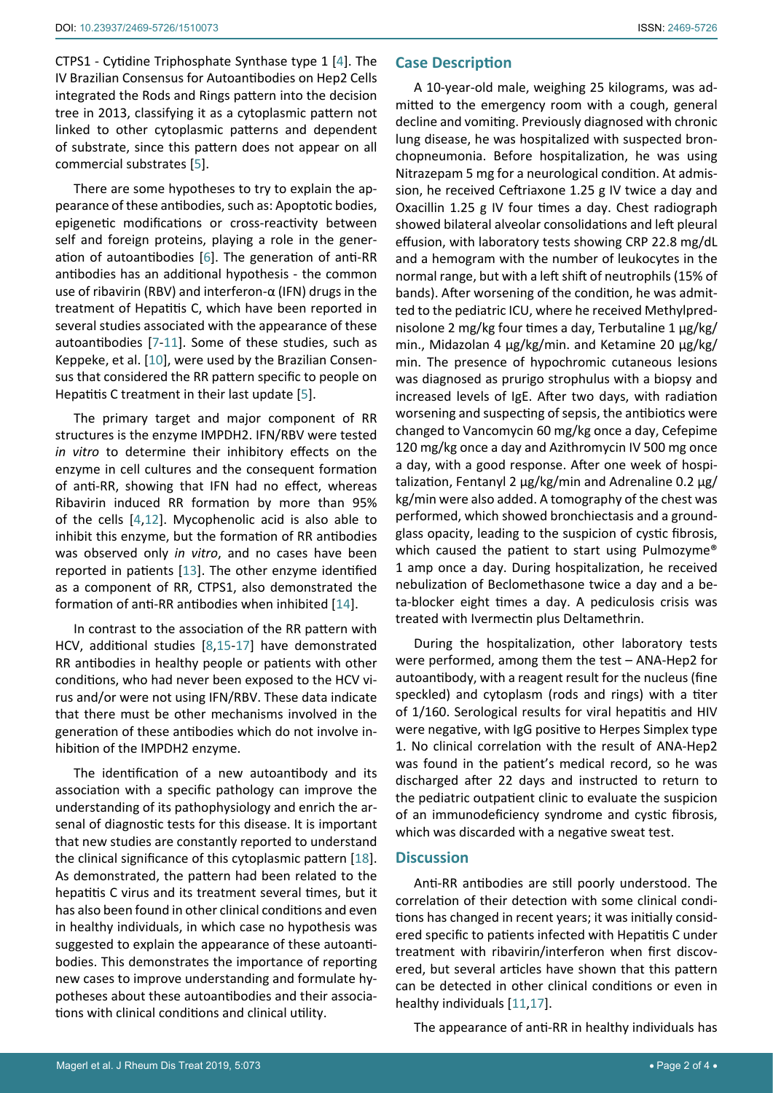CTPS1 - Cytidine Triphosphate Synthase type 1 [\[4\]](#page-2-3). The IV Brazilian Consensus for Autoantibodies on Hep2 Cells integrated the Rods and Rings pattern into the decision tree in 2013, classifying it as a cytoplasmic pattern not linked to other cytoplasmic patterns and dependent of substrate, since this pattern does not appear on all commercial substrates [[5](#page-2-4)].

There are some hypotheses to try to explain the appearance of these antibodies, such as: Apoptotic bodies, epigenetic modifications or cross-reactivity between self and foreign proteins, playing a role in the generation of autoantibodies [[6](#page-2-5)]. The generation of anti-RR antibodies has an additional hypothesis - the common use of ribavirin (RBV) and interferon-α (IFN) drugs in the treatment of Hepatitis C, which have been reported in several studies associated with the appearance of these autoantibodies [\[7](#page-2-6)[-11](#page-3-0)]. Some of these studies, such as Keppeke, et al. [[10](#page-3-2)], were used by the Brazilian Consensus that considered the RR pattern specific to people on Hepatitis C treatment in their last update [[5](#page-2-4)].

The primary target and major component of RR structures is the enzyme IMPDH2. IFN/RBV were tested *in vitro* to determine their inhibitory effects on the enzyme in cell cultures and the consequent formation of anti-RR, showing that IFN had no effect, whereas Ribavirin induced RR formation by more than 95% of the cells [\[4](#page-2-3)[,12](#page-3-3)]. Mycophenolic acid is also able to inhibit this enzyme, but the formation of RR antibodies was observed only *in vitro*, and no cases have been reported in patients [[13\]](#page-3-4). The other enzyme identified as a component of RR, CTPS1, also demonstrated the formation of anti-RR antibodies when inhibited [[14\]](#page-3-5).

In contrast to the association of the RR pattern with HCV, additional studies [[8](#page-2-7),[15](#page-3-6)-[17\]](#page-3-1) have demonstrated RR antibodies in healthy people or patients with other conditions, who had never been exposed to the HCV virus and/or were not using IFN/RBV. These data indicate that there must be other mechanisms involved in the generation of these antibodies which do not involve inhibition of the IMPDH2 enzyme.

The identification of a new autoantibody and its association with a specific pathology can improve the understanding of its pathophysiology and enrich the arsenal of diagnostic tests for this disease. It is important that new studies are constantly reported to understand the clinical significance of this cytoplasmic pattern [\[18](#page-3-7)]. As demonstrated, the pattern had been related to the hepatitis C virus and its treatment several times, but it has also been found in other clinical conditions and even in healthy individuals, in which case no hypothesis was suggested to explain the appearance of these autoantibodies. This demonstrates the importance of reporting new cases to improve understanding and formulate hypotheses about these autoantibodies and their associations with clinical conditions and clinical utility.

# **Case Description**

A 10-year-old male, weighing 25 kilograms, was admitted to the emergency room with a cough, general decline and vomiting. Previously diagnosed with chronic lung disease, he was hospitalized with suspected bronchopneumonia. Before hospitalization, he was using Nitrazepam 5 mg for a neurological condition. At admission, he received Ceftriaxone 1.25 g IV twice a day and Oxacillin 1.25 g IV four times a day. Chest radiograph showed bilateral alveolar consolidations and left pleural effusion, with laboratory tests showing CRP 22.8 mg/dL and a hemogram with the number of leukocytes in the normal range, but with a left shift of neutrophils (15% of bands). After worsening of the condition, he was admitted to the pediatric ICU, where he received Methylprednisolone 2 mg/kg four times a day, Terbutaline 1 μg/kg/ min., Midazolan 4 μg/kg/min. and Ketamine 20 μg/kg/ min. The presence of hypochromic cutaneous lesions was diagnosed as prurigo strophulus with a biopsy and increased levels of IgE. After two days, with radiation worsening and suspecting of sepsis, the antibiotics were changed to Vancomycin 60 mg/kg once a day, Cefepime 120 mg/kg once a day and Azithromycin IV 500 mg once a day, with a good response. After one week of hospitalization, Fentanyl 2 μg/kg/min and Adrenaline 0.2 μg/ kg/min were also added. A tomography of the chest was performed, which showed bronchiectasis and a groundglass opacity, leading to the suspicion of cystic fibrosis, which caused the patient to start using Pulmozyme® 1 amp once a day. During hospitalization, he received nebulization of Beclomethasone twice a day and a beta-blocker eight times a day. A pediculosis crisis was treated with Ivermectin plus Deltamethrin.

During the hospitalization, other laboratory tests were performed, among them the test – ANA-Hep2 for autoantibody, with a reagent result for the nucleus (fine speckled) and cytoplasm (rods and rings) with a titer of 1/160. Serological results for viral hepatitis and HIV were negative, with IgG positive to Herpes Simplex type 1. No clinical correlation with the result of ANA-Hep2 was found in the patient's medical record, so he was discharged after 22 days and instructed to return to the pediatric outpatient clinic to evaluate the suspicion of an immunodeficiency syndrome and cystic fibrosis, which was discarded with a negative sweat test.

# **Discussion**

Anti-RR antibodies are still poorly understood. The correlation of their detection with some clinical conditions has changed in recent years; it was initially considered specific to patients infected with Hepatitis C under treatment with ribavirin/interferon when first discovered, but several articles have shown that this pattern can be detected in other clinical conditions or even in healthy individuals [[11](#page-3-0),[17](#page-3-1)].

The appearance of anti-RR in healthy individuals has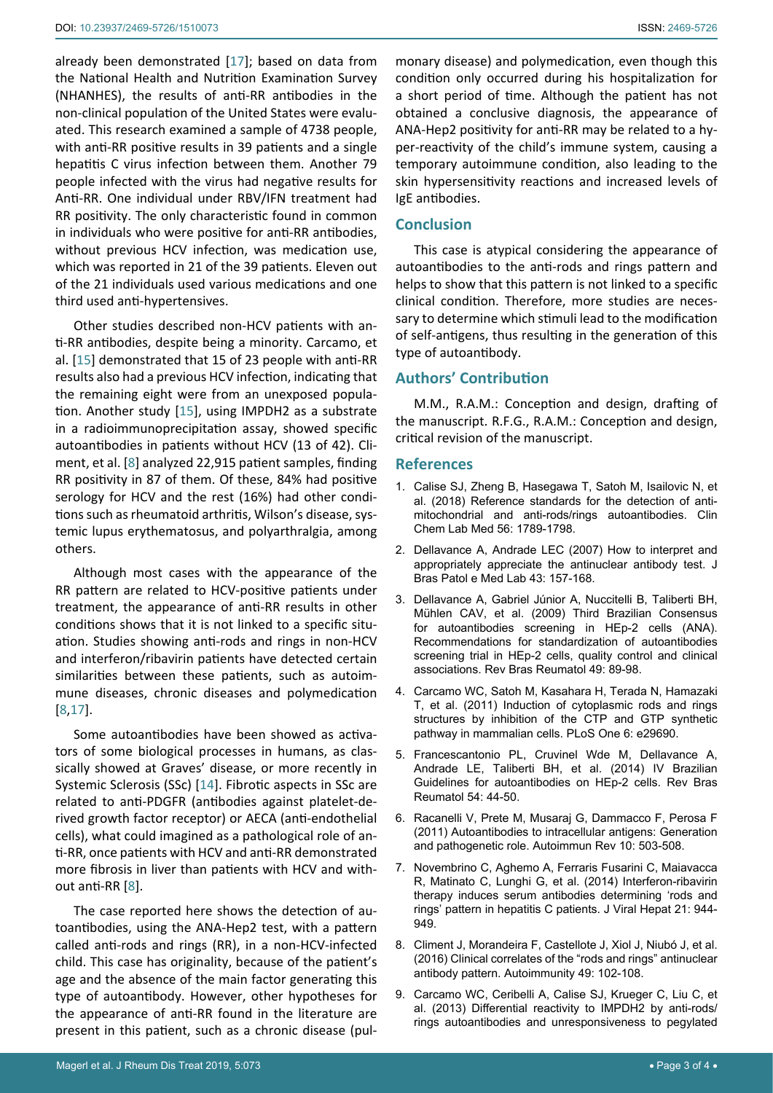already been demonstrated [\[17](#page-3-1)]; based on data from the National Health and Nutrition Examination Survey (NHANHES), the results of anti-RR antibodies in the non-clinical population of the United States were evaluated. This research examined a sample of 4738 people, with anti-RR positive results in 39 patients and a single hepatitis C virus infection between them. Another 79 people infected with the virus had negative results for Anti-RR. One individual under RBV/IFN treatment had RR positivity. The only characteristic found in common in individuals who were positive for anti-RR antibodies, without previous HCV infection, was medication use, which was reported in 21 of the 39 patients. Eleven out of the 21 individuals used various medications and one third used anti-hypertensives.

Other studies described non-HCV patients with anti-RR antibodies, despite being a minority. Carcamo, et al. [\[15](#page-3-6)] demonstrated that 15 of 23 people with anti-RR results also had a previous HCV infection, indicating that the remaining eight were from an unexposed population. Another study [\[15](#page-3-6)], using IMPDH2 as a substrate in a radioimmunoprecipitation assay, showed specific autoantibodies in patients without HCV (13 of 42). Climent, et al. [[8](#page-2-7)] analyzed 22,915 patient samples, finding RR positivity in 87 of them. Of these, 84% had positive serology for HCV and the rest (16%) had other conditions such as rheumatoid arthritis, Wilson's disease, systemic lupus erythematosus, and polyarthralgia, among others.

Although most cases with the appearance of the RR pattern are related to HCV-positive patients under treatment, the appearance of anti-RR results in other conditions shows that it is not linked to a specific situation. Studies showing anti-rods and rings in non-HCV and interferon/ribavirin patients have detected certain similarities between these patients, such as autoimmune diseases, chronic diseases and polymedication [[8](#page-2-7),[17](#page-3-1)].

Some autoantibodies have been showed as activators of some biological processes in humans, as classically showed at Graves' disease, or more recently in Systemic Sclerosis (SSc) [[14](#page-3-5)]. Fibrotic aspects in SSc are related to anti-PDGFR (antibodies against platelet-derived growth factor receptor) or AECA (anti-endothelial cells), what could imagined as a pathological role of anti-RR, once patients with HCV and anti-RR demonstrated more fibrosis in liver than patients with HCV and without anti-RR [[8](#page-2-7)].

The case reported here shows the detection of autoantibodies, using the ANA-Hep2 test, with a pattern called anti-rods and rings (RR), in a non-HCV-infected child. This case has originality, because of the patient's age and the absence of the main factor generating this type of autoantibody. However, other hypotheses for the appearance of anti-RR found in the literature are present in this patient, such as a chronic disease (pul-

monary disease) and polymedication, even though this condition only occurred during his hospitalization for a short period of time. Although the patient has not obtained a conclusive diagnosis, the appearance of ANA-Hep2 positivity for anti-RR may be related to a hyper-reactivity of the child's immune system, causing a temporary autoimmune condition, also leading to the skin hypersensitivity reactions and increased levels of IgE antibodies.

## **Conclusion**

This case is atypical considering the appearance of autoantibodies to the anti-rods and rings pattern and helps to show that this pattern is not linked to a specific clinical condition. Therefore, more studies are necessary to determine which stimuli lead to the modification of self-antigens, thus resulting in the generation of this type of autoantibody.

# **Authors' Contribution**

M.M., R.A.M.: Conception and design, drafting of the manuscript. R.F.G., R.A.M.: Conception and design, critical revision of the manuscript.

#### **References**

- <span id="page-2-0"></span>1. [Calise SJ, Zheng B, Hasegawa T, Satoh M, Isailovic N, et](https://www.ncbi.nlm.nih.gov/pubmed/29478040)  [al. \(2018\) Reference standards for the detection of anti](https://www.ncbi.nlm.nih.gov/pubmed/29478040)[mitochondrial and anti-rods/rings autoantibodies. Clin](https://www.ncbi.nlm.nih.gov/pubmed/29478040)  [Chem Lab Med 56: 1789-1798.](https://www.ncbi.nlm.nih.gov/pubmed/29478040)
- <span id="page-2-1"></span>2. [Dellavance A, Andrade LEC \(2007\) How to interpret and](http://www.scielo.br/scielo.php?pid=S1676-24442007000300004&script=sci_abstract)  [appropriately appreciate the antinuclear antibody test. J](http://www.scielo.br/scielo.php?pid=S1676-24442007000300004&script=sci_abstract)  [Bras Patol e Med Lab 43: 157-168.](http://www.scielo.br/scielo.php?pid=S1676-24442007000300004&script=sci_abstract)
- <span id="page-2-2"></span>3. [Dellavance A, Gabriel Júnior A, Nuccitelli B, Taliberti BH,](http://www.scielo.br/scielo.php?pid=s0482-50042009000200002&script=sci_arttext&tlng=en)  [Mühlen CAV, et al. \(2009\) Third Brazilian Consensus](http://www.scielo.br/scielo.php?pid=s0482-50042009000200002&script=sci_arttext&tlng=en)  [for autoantibodies screening in HEp-2 cells \(ANA\).](http://www.scielo.br/scielo.php?pid=s0482-50042009000200002&script=sci_arttext&tlng=en)  [Recommendations for standardization of autoantibodies](http://www.scielo.br/scielo.php?pid=s0482-50042009000200002&script=sci_arttext&tlng=en)  [screening trial in HEp-2 cells, quality control and clinical](http://www.scielo.br/scielo.php?pid=s0482-50042009000200002&script=sci_arttext&tlng=en)  [associations. Rev Bras Reumatol 49: 89-98.](http://www.scielo.br/scielo.php?pid=s0482-50042009000200002&script=sci_arttext&tlng=en)
- <span id="page-2-3"></span>4. [Carcamo WC, Satoh M, Kasahara H, Terada N, Hamazaki](https://www.ncbi.nlm.nih.gov/pubmed/22220215)  [T, et al. \(2011\) Induction of cytoplasmic rods and rings](https://www.ncbi.nlm.nih.gov/pubmed/22220215)  [structures by inhibition of the CTP and GTP synthetic](https://www.ncbi.nlm.nih.gov/pubmed/22220215)  [pathway in mammalian cells. PLoS One 6: e29690.](https://www.ncbi.nlm.nih.gov/pubmed/22220215)
- <span id="page-2-4"></span>5. [Francescantonio PL, Cruvinel Wde M, Dellavance A,](https://www.ncbi.nlm.nih.gov/pubmed/24878791)  [Andrade LE, Taliberti BH, et al. \(2014\) IV Brazilian](https://www.ncbi.nlm.nih.gov/pubmed/24878791)  [Guidelines for autoantibodies on HEp-2 cells. Rev Bras](https://www.ncbi.nlm.nih.gov/pubmed/24878791)  [Reumatol 54: 44-50.](https://www.ncbi.nlm.nih.gov/pubmed/24878791)
- <span id="page-2-5"></span>6. [Racanelli V, Prete M, Musaraj G, Dammacco F, Perosa F](https://www.ncbi.nlm.nih.gov/pubmed/21397735)  [\(2011\) Autoantibodies to intracellular antigens: Generation](https://www.ncbi.nlm.nih.gov/pubmed/21397735)  [and pathogenetic role. Autoimmun Rev 10: 503-508.](https://www.ncbi.nlm.nih.gov/pubmed/21397735)
- <span id="page-2-6"></span>7. [Novembrino C, Aghemo A, Ferraris Fusarini C, Maiavacca](https://www.ncbi.nlm.nih.gov/pubmed/25040504)  [R, Matinato C, Lunghi G, et al. \(2014\) Interferon-ribavirin](https://www.ncbi.nlm.nih.gov/pubmed/25040504)  [therapy induces serum antibodies determining 'rods and](https://www.ncbi.nlm.nih.gov/pubmed/25040504)  [rings' pattern in hepatitis C patients. J Viral Hepat 21: 944-](https://www.ncbi.nlm.nih.gov/pubmed/25040504) [949.](https://www.ncbi.nlm.nih.gov/pubmed/25040504)
- <span id="page-2-7"></span>8. [Climent J, Morandeira F, Castellote J, Xiol J, Niubó J, et al.](https://www.ncbi.nlm.nih.gov/pubmed/26699543)  [\(2016\) Clinical correlates of the "rods and rings" antinuclear](https://www.ncbi.nlm.nih.gov/pubmed/26699543)  [antibody pattern. Autoimmunity 49: 102-108.](https://www.ncbi.nlm.nih.gov/pubmed/26699543)
- 9. [Carcamo WC, Ceribelli A, Calise SJ, Krueger C, Liu C, et](https://www.ncbi.nlm.nih.gov/pubmed/23100146)  [al. \(2013\) Differential reactivity to IMPDH2 by anti-rods/](https://www.ncbi.nlm.nih.gov/pubmed/23100146) [rings autoantibodies and unresponsiveness to pegylated](https://www.ncbi.nlm.nih.gov/pubmed/23100146)